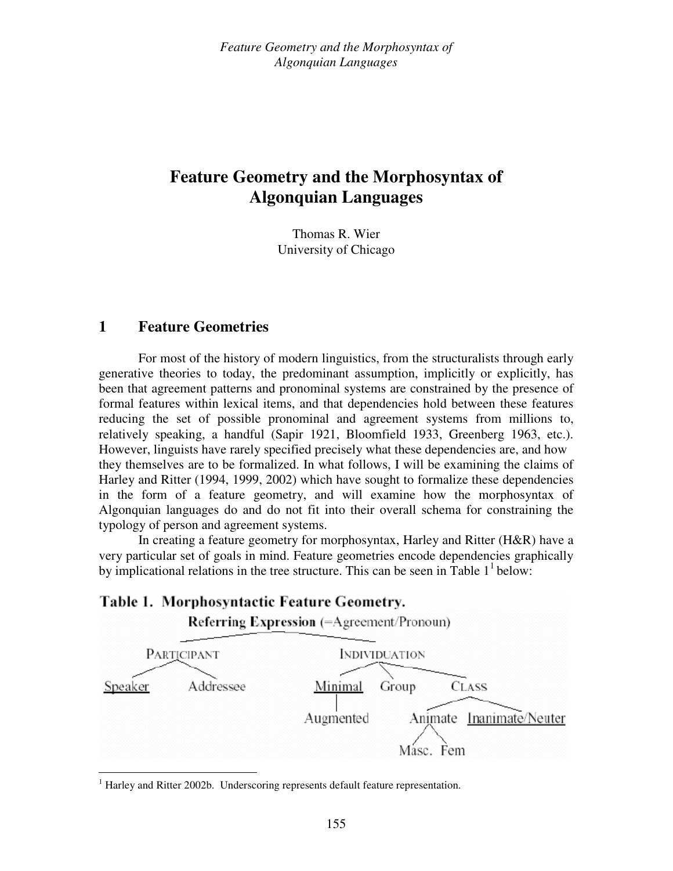Thomas R. Wier University of Chicago

## **1 Feature Geometries**

For most of the history of modern linguistics, from the structuralists through early generative theories to today, the predominant assumption, implicitly or explicitly, has been that agreement patterns and pronominal systems are constrained by the presence of formal features within lexical items, and that dependencies hold between these features reducing the set of possible pronominal and agreement systems from millions to, relatively speaking, a handful (Sapir 1921, Bloomfield 1933, Greenberg 1963, etc.). However, linguists have rarely specified precisely what these dependencies are, and how they themselves are to be formalized. In what follows, I will be examining the claims of Harley and Ritter (1994, 1999, 2002) which have sought to formalize these dependencies in the form of a feature geometry, and will examine how the morphosyntax of Algonquian languages do and do not fit into their overall schema for constraining the typology of person and agreement systems.

In creating a feature geometry for morphosyntax, Harley and Ritter (H&R) have a very particular set of goals in mind. Feature geometries encode dependencies graphically by implicational relations in the tree structure. This can be seen in Table  $1^1$  below:

## Table 1. Morphosyntactic Feature Geometry.



<sup>&</sup>lt;sup>1</sup> Harley and Ritter 2002b. Underscoring represents default feature representation.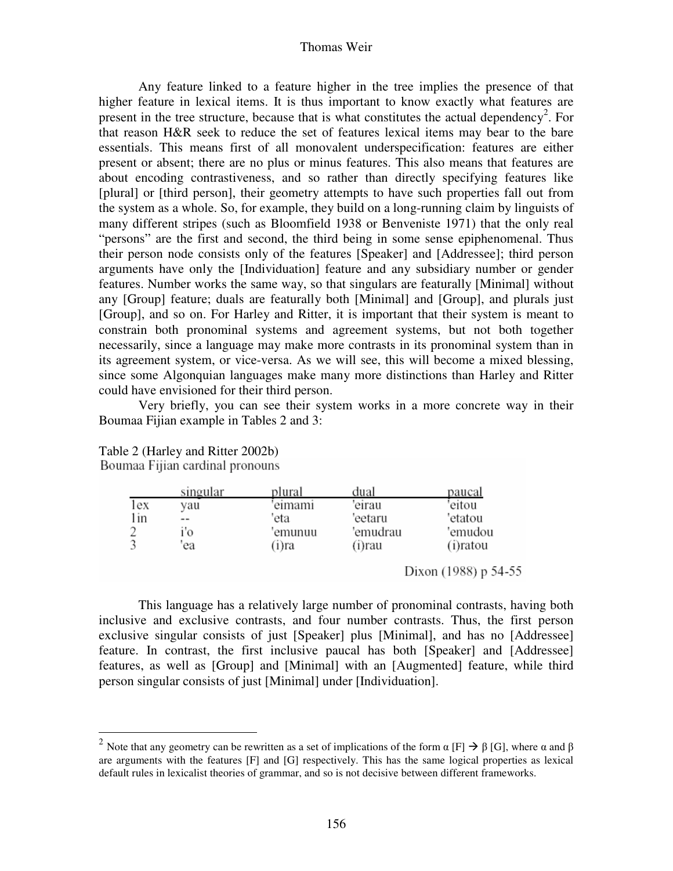#### Thomas Weir

Any feature linked to a feature higher in the tree implies the presence of that higher feature in lexical items. It is thus important to know exactly what features are present in the tree structure, because that is what constitutes the actual dependency<sup>2</sup>. For that reason H&R seek to reduce the set of features lexical items may bear to the bare essentials. This means first of all monovalent underspecification: features are either present or absent; there are no plus or minus features. This also means that features are about encoding contrastiveness, and so rather than directly specifying features like [plural] or [third person], their geometry attempts to have such properties fall out from the system as a whole. So, for example, they build on a long-running claim by linguists of many different stripes (such as Bloomfield 1938 or Benveniste 1971) that the only real "persons" are the first and second, the third being in some sense epiphenomenal. Thus their person node consists only of the features [Speaker] and [Addressee]; third person arguments have only the [Individuation] feature and any subsidiary number or gender features. Number works the same way, so that singulars are featurally [Minimal] without any [Group] feature; duals are featurally both [Minimal] and [Group], and plurals just [Group], and so on. For Harley and Ritter, it is important that their system is meant to constrain both pronominal systems and agreement systems, but not both together necessarily, since a language may make more contrasts in its pronominal system than in its agreement system, or vice-versa. As we will see, this will become a mixed blessing, since some Algonquian languages make many more distinctions than Harley and Ritter could have envisioned for their third person.

 Very briefly, you can see their system works in a more concrete way in their Boumaa Fijian example in Tables 2 and 3:

|     | singular | plural  | dual     | paucal      |
|-----|----------|---------|----------|-------------|
| lex | vau      | eimami  | 'eirau   | eitou       |
| in  | --       | eta     | 'eetaru  | 'etatou     |
|     | ľО       | 'emunuu | 'emudrau | 'emudou     |
|     | ea       | (i)ra   | (i)rau   | $(i)$ ratou |

Table 2 (Harley and Ritter 2002b) Boumaa Fijian cardinal pronouns

Dixon (1988) p 54-55

This language has a relatively large number of pronominal contrasts, having both inclusive and exclusive contrasts, and four number contrasts. Thus, the first person exclusive singular consists of just [Speaker] plus [Minimal], and has no [Addressee] feature. In contrast, the first inclusive paucal has both [Speaker] and [Addressee] features, as well as [Group] and [Minimal] with an [Augmented] feature, while third person singular consists of just [Minimal] under [Individuation].

<sup>&</sup>lt;sup>2</sup> Note that any geometry can be rewritten as a set of implications of the form α [F]  $\rightarrow \beta$  [G], where α and β are arguments with the features [F] and [G] respectively. This has the same logical properties as lexical default rules in lexicalist theories of grammar, and so is not decisive between different frameworks.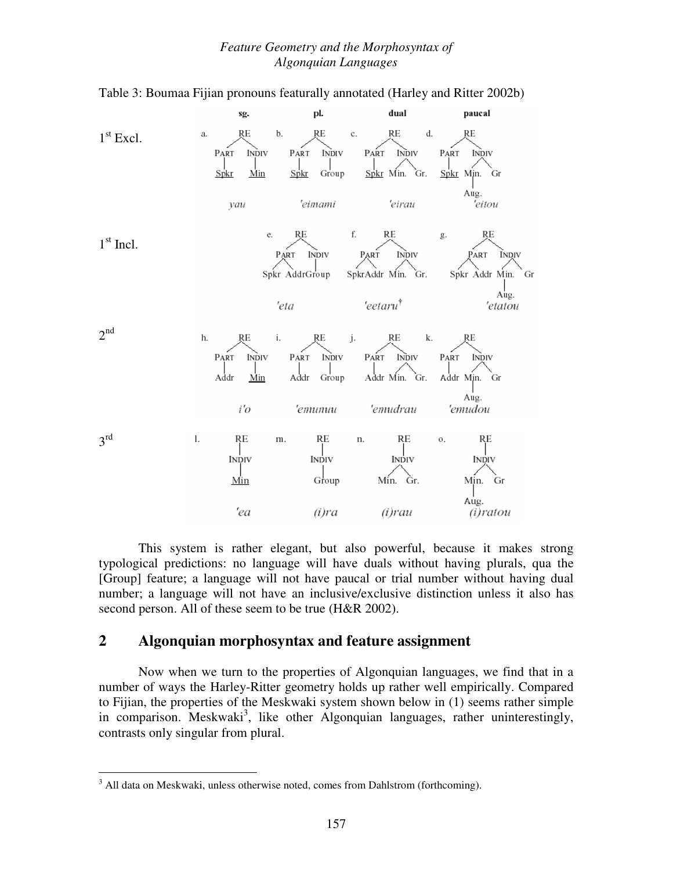

Table 3: Boumaa Fijian pronouns featurally annotated (Harley and Ritter 2002b)

This system is rather elegant, but also powerful, because it makes strong typological predictions: no language will have duals without having plurals, qua the [Group] feature; a language will not have paucal or trial number without having dual number; a language will not have an inclusive/exclusive distinction unless it also has second person. All of these seem to be true (H&R 2002).

## **2 Algonquian morphosyntax and feature assignment**

Now when we turn to the properties of Algonquian languages, we find that in a number of ways the Harley-Ritter geometry holds up rather well empirically. Compared to Fijian, the properties of the Meskwaki system shown below in (1) seems rather simple in comparison. Meskwaki<sup>3</sup>, like other Algonquian languages, rather uninterestingly, contrasts only singular from plural.

 $\overline{a}$ 

<sup>&</sup>lt;sup>3</sup> All data on Meskwaki, unless otherwise noted, comes from Dahlstrom (forthcoming).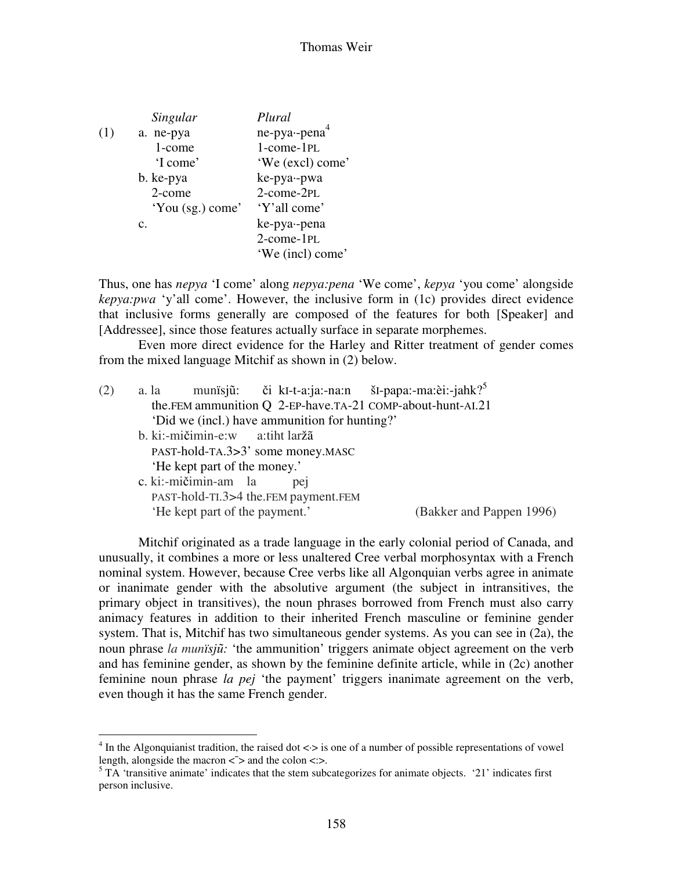|     | Singular         | Plural           |
|-----|------------------|------------------|
| (1) | a. ne-pya        | $ne-pya-pena4$   |
|     | 1-come           | 1-come-1PL       |
|     | 'I come'         | 'We (excl) come' |
|     | b. ke-pya        | ke-pya--pwa      |
|     | 2-come           | 2-come-2PL       |
|     | 'You (sg.) come' | 'Y'all come'     |
|     | $\mathbf{c}$ .   | ke-pya--pena     |
|     |                  | 2-come-1PL       |
|     |                  | 'We (incl) come' |

Thus, one has *nepya* 'I come' along *nepya:pena* 'We come', *kepya* 'you come' alongside *kepya:pwa* 'y'all come'. However, the inclusive form in (1c) provides direct evidence that inclusive forms generally are composed of the features for both [Speaker] and [Addressee], since those features actually surface in separate morphemes.

Even more direct evidence for the Harley and Ritter treatment of gender comes from the mixed language Mitchif as shown in (2) below.

| (2) | a. la |                                 |                                               | munisjū: či kI-t-a:ja:-na:n šI-papa:-ma:èi:-jahk? <sup>5</sup> |                          |
|-----|-------|---------------------------------|-----------------------------------------------|----------------------------------------------------------------|--------------------------|
|     |       |                                 |                                               | the.FEM ammunition Q 2-EP-have.TA-21 COMP-about-hunt-AI.21     |                          |
|     |       |                                 | 'Did we (incl.) have ammunition for hunting?' |                                                                |                          |
|     |       | b. ki:-mičimin-e:w a:tiht laržã |                                               |                                                                |                          |
|     |       |                                 | PAST-hold-TA.3>3' some money.MASC             |                                                                |                          |
|     |       | 'He kept part of the money.'    |                                               |                                                                |                          |
|     |       | c. ki:-mičimin-am la            | pei                                           |                                                                |                          |
|     |       |                                 | PAST-hold-TI.3>4 the.FEM payment.FEM          |                                                                |                          |
|     |       | 'He kept part of the payment.'  |                                               |                                                                | (Bakker and Pappen 1996) |
|     |       |                                 |                                               |                                                                |                          |

Mitchif originated as a trade language in the early colonial period of Canada, and unusually, it combines a more or less unaltered Cree verbal morphosyntax with a French nominal system. However, because Cree verbs like all Algonquian verbs agree in animate or inanimate gender with the absolutive argument (the subject in intransitives, the primary object in transitives), the noun phrases borrowed from French must also carry animacy features in addition to their inherited French masculine or feminine gender system. That is, Mitchif has two simultaneous gender systems. As you can see in (2a), the noun phrase *la munïsj*ũ*:* 'the ammunition' triggers animate object agreement on the verb and has feminine gender, as shown by the feminine definite article, while in (2c) another feminine noun phrase *la pej* 'the payment' triggers inanimate agreement on the verb, even though it has the same French gender.

 $\overline{a}$ 

<sup>&</sup>lt;sup>4</sup> In the Algonquianist tradition, the raised dot  $\langle \cdot \rangle$  is one of a number of possible representations of vowel length, alongside the macron  $\langle$  > and the colon  $\langle$  :>.

 $5$  TA 'transitive animate' indicates that the stem subcategorizes for animate objects. '21' indicates first person inclusive.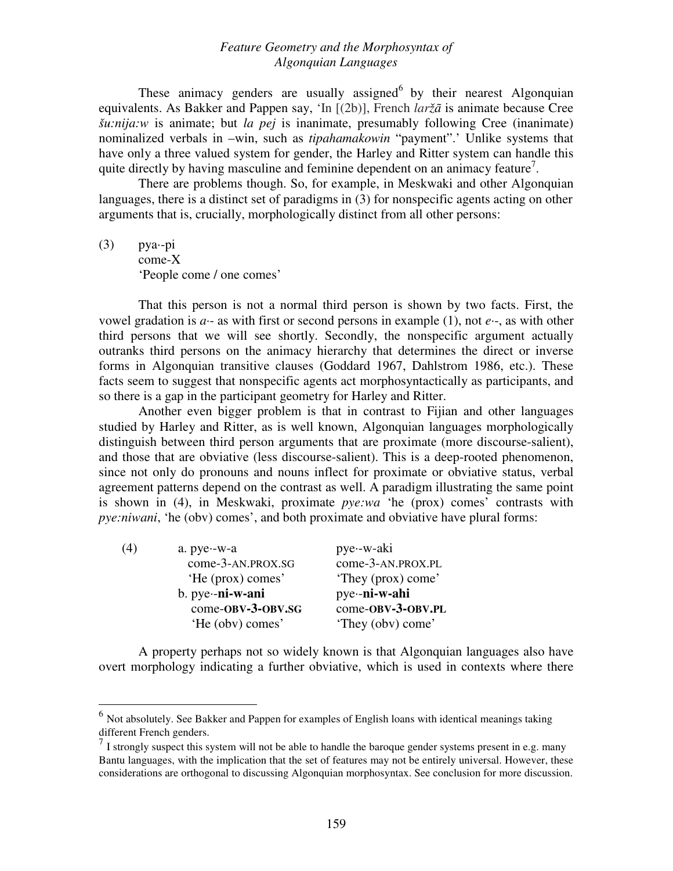These animacy genders are usually assigned $6$  by their nearest Algonquian equivalents. As Bakker and Pappen say, 'In [(2b)], French *laržã* is animate because Cree *šu:nija:w* is animate; but *la pej* is inanimate, presumably following Cree (inanimate) nominalized verbals in –win, such as *tipahamakowin* "payment".' Unlike systems that have only a three valued system for gender, the Harley and Ritter system can handle this quite directly by having masculine and feminine dependent on an animacy feature<sup>7</sup>.

There are problems though. So, for example, in Meskwaki and other Algonquian languages, there is a distinct set of paradigms in (3) for nonspecific agents acting on other arguments that is, crucially, morphologically distinct from all other persons:

 $(3)$  pya--pi come-X 'People come / one comes'

 $\overline{a}$ 

That this person is not a normal third person is shown by two facts. First, the vowel gradation is *a·*- as with first or second persons in example (1), not *e·*-, as with other third persons that we will see shortly. Secondly, the nonspecific argument actually outranks third persons on the animacy hierarchy that determines the direct or inverse forms in Algonquian transitive clauses (Goddard 1967, Dahlstrom 1986, etc.). These facts seem to suggest that nonspecific agents act morphosyntactically as participants, and so there is a gap in the participant geometry for Harley and Ritter.

Another even bigger problem is that in contrast to Fijian and other languages studied by Harley and Ritter, as is well known, Algonquian languages morphologically distinguish between third person arguments that are proximate (more discourse-salient), and those that are obviative (less discourse-salient). This is a deep-rooted phenomenon, since not only do pronouns and nouns inflect for proximate or obviative status, verbal agreement patterns depend on the contrast as well. A paradigm illustrating the same point is shown in (4), in Meskwaki, proximate *pye:wa* 'he (prox) comes' contrasts with *pye:niwani*, 'he (obv) comes', and both proximate and obviative have plural forms:

| (4) | a. $pye - w - a$   | pye -w-aki         |
|-----|--------------------|--------------------|
|     | come-3-AN.PROX.SG  | come-3-AN.PROX.PL  |
|     | 'He (prox) comes'  | 'They (prox) come' |
|     | $b. pye--ni-w-ani$ | pye-ni-w-ahi       |
|     | come-OBV-3-OBV.SG  | come-OBV-3-OBV.PL  |
|     | 'He (obv) comes'   | 'They (obv) come'  |
|     |                    |                    |

A property perhaps not so widely known is that Algonquian languages also have overt morphology indicating a further obviative, which is used in contexts where there

 $<sup>6</sup>$  Not absolutely. See Bakker and Pappen for examples of English loans with identical meanings taking</sup> different French genders.

 $<sup>7</sup>$  I strongly suspect this system will not be able to handle the baroque gender systems present in e.g. many</sup> Bantu languages, with the implication that the set of features may not be entirely universal. However, these considerations are orthogonal to discussing Algonquian morphosyntax. See conclusion for more discussion.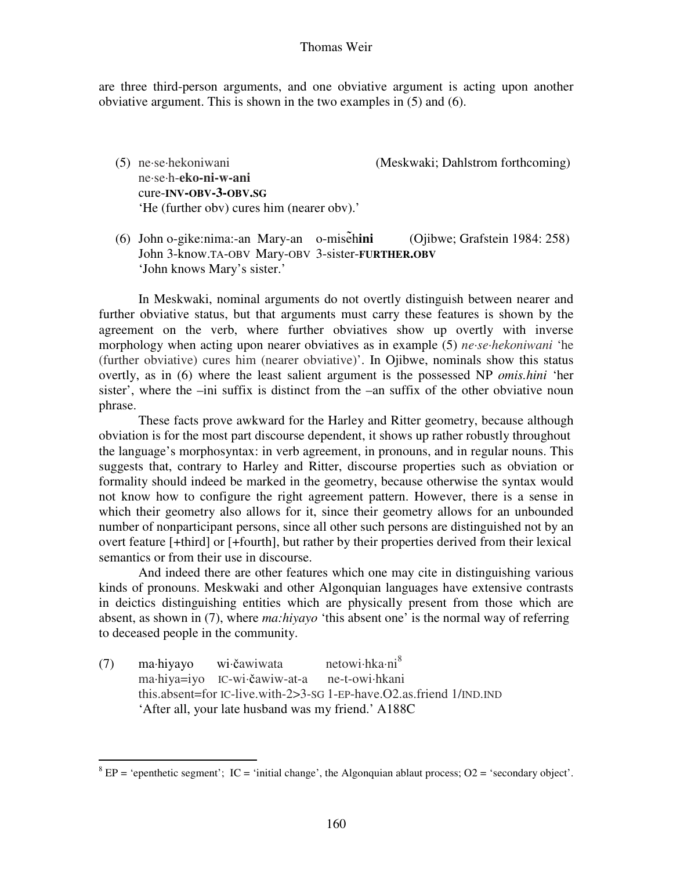#### Thomas Weir

are three third-person arguments, and one obviative argument is acting upon another obviative argument. This is shown in the two examples in (5) and (6).

- (5) ne*·*se*·*hekoniwani (Meskwaki; Dahlstrom forthcoming) ne*·*se*·*h-**eko-ni-w-ani**  cure-**INV-OBV-3-OBV.SG**  'He (further obv) cures him (nearer obv).'
- (6) John o-gike:nima:-an Mary-an o-miseh **ini** (Ojibwe; Grafstein 1984: 258) John 3-know.TA-OBV Mary-OBV 3-sister-**FURTHER.OBV**  'John knows Mary's sister.'

In Meskwaki, nominal arguments do not overtly distinguish between nearer and further obviative status, but that arguments must carry these features is shown by the agreement on the verb, where further obviatives show up overtly with inverse morphology when acting upon nearer obviatives as in example (5) *ne·se·hekoniwani* 'he (further obviative) cures him (nearer obviative)'. In Ojibwe, nominals show this status overtly, as in (6) where the least salient argument is the possessed NP *omis.hini* 'her sister', where the –ini suffix is distinct from the –an suffix of the other obviative noun phrase.

These facts prove awkward for the Harley and Ritter geometry, because although obviation is for the most part discourse dependent, it shows up rather robustly throughout the language's morphosyntax: in verb agreement, in pronouns, and in regular nouns. This suggests that, contrary to Harley and Ritter, discourse properties such as obviation or formality should indeed be marked in the geometry, because otherwise the syntax would not know how to configure the right agreement pattern. However, there is a sense in which their geometry also allows for it, since their geometry allows for an unbounded number of nonparticipant persons, since all other such persons are distinguished not by an overt feature [+third] or [+fourth], but rather by their properties derived from their lexical semantics or from their use in discourse.

And indeed there are other features which one may cite in distinguishing various kinds of pronouns. Meskwaki and other Algonquian languages have extensive contrasts in deictics distinguishing entities which are physically present from those which are absent, as shown in (7), where *ma:hiyayo* 'this absent one' is the normal way of referring to deceased people in the community.

(7) ma·hiyayo wi·čawiwata netowi·hka·ni<sup>8</sup> ma·hiya=iyo IC-wi·čawiw-at-a ne-t-owi·hkani this.absent=for IC-live.with-2>3-SG 1-EP-have.O2.as.friend 1/IND.IND 'After all, your late husband was my friend.' A188C

 $\overline{a}$ 

 $8$  EP = 'epenthetic segment'; IC = 'initial change', the Algonquian ablaut process; O2 = 'secondary object'.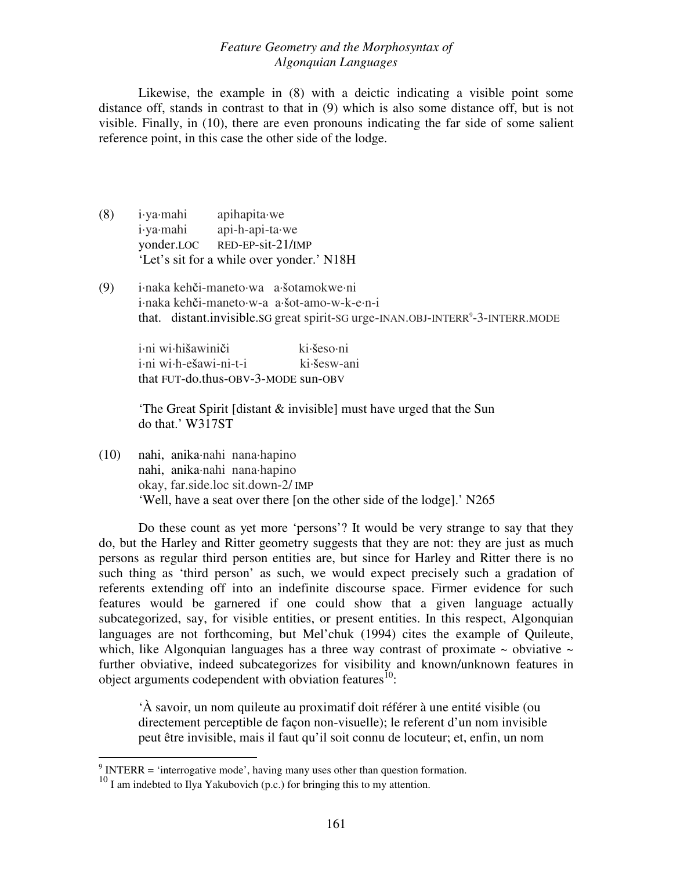Likewise, the example in (8) with a deictic indicating a visible point some distance off, stands in contrast to that in (9) which is also some distance off, but is not visible. Finally, in (10), there are even pronouns indicating the far side of some salient reference point, in this case the other side of the lodge.

- (8) i·ya·mahi apihapita·we i·ya·mahi api-h-api-ta·we yonder.LOC RED-EP-sit-21/IMP 'Let's sit for a while over yonder.' N18H
- (9) i·naka kehči-maneto·wa a·šotamokwe·ni i·naka kehči-maneto·w-a a·šot-amo-w-k-e·n-i that. distant.invisible. SG great spirit-SG urge-INAN.OBJ-INTERR<sup>9</sup>-3-INTERR. MODE

i·ni wi·hišawiniči ki·šeso·ni i·ni wi·h-ešawi-ni-t-i ki·šesw-ani that FUT-do.thus-OBV-3-MODE sun-OBV

'The Great Spirit [distant & invisible] must have urged that the Sun do that.' W317ST

(10) nahi, anika·nahi nana·hapino nahi, anika·nahi nana·hapino okay, far.side.loc sit.down-2/ IMP 'Well, have a seat over there [on the other side of the lodge].' N265

Do these count as yet more 'persons'? It would be very strange to say that they do, but the Harley and Ritter geometry suggests that they are not: they are just as much persons as regular third person entities are, but since for Harley and Ritter there is no such thing as 'third person' as such, we would expect precisely such a gradation of referents extending off into an indefinite discourse space. Firmer evidence for such features would be garnered if one could show that a given language actually subcategorized, say, for visible entities, or present entities. In this respect, Algonquian languages are not forthcoming, but Mel'chuk (1994) cites the example of Quileute, which, like Algonquian languages has a three way contrast of proximate  $\sim$  obviative  $\sim$ further obviative, indeed subcategorizes for visibility and known/unknown features in object arguments codependent with obviation features $^{10}$ :

'À savoir, un nom quileute au proximatif doit référer à une entité visible (ou directement perceptible de façon non-visuelle); le referent d'un nom invisible peut être invisible, mais il faut qu'il soit connu de locuteur; et, enfin, un nom

 9 INTERR = 'interrogative mode', having many uses other than question formation.

 $10 \text{ I}$  am indebted to Ilya Yakubovich (p.c.) for bringing this to my attention.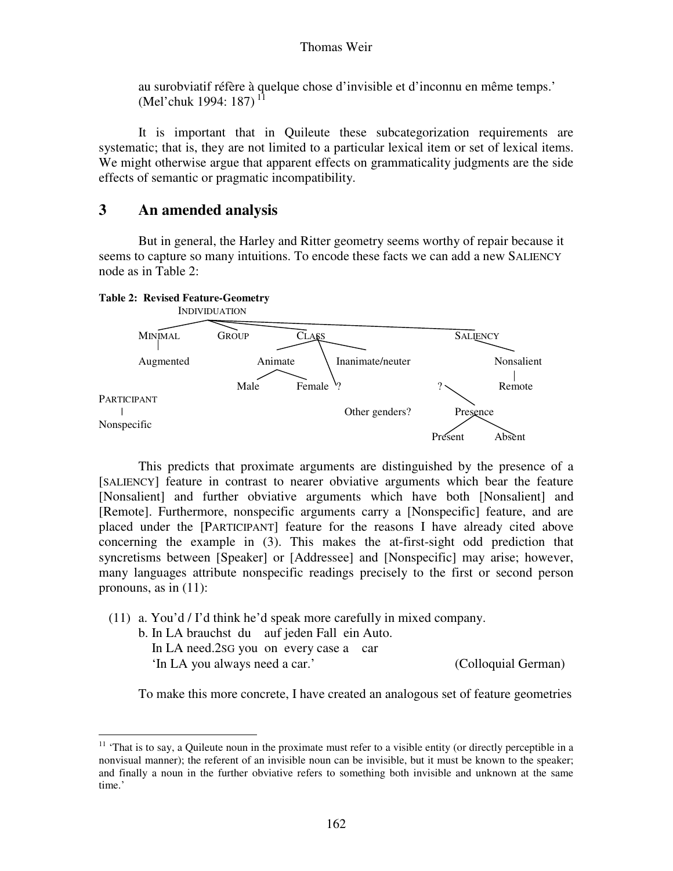au surobviatif réfère à quelque chose d'invisible et d'inconnu en même temps.' (Mel'chuk 1994: 187)<sup>11</sup>

It is important that in Quileute these subcategorization requirements are systematic; that is, they are not limited to a particular lexical item or set of lexical items. We might otherwise argue that apparent effects on grammaticality judgments are the side effects of semantic or pragmatic incompatibility.

# **3 An amended analysis**

But in general, the Harley and Ritter geometry seems worthy of repair because it seems to capture so many intuitions. To encode these facts we can add a new SALIENCY node as in Table 2:

#### **Table 2: Revised Feature-Geometry**



This predicts that proximate arguments are distinguished by the presence of a [SALIENCY] feature in contrast to nearer obviative arguments which bear the feature [Nonsalient] and further obviative arguments which have both [Nonsalient] and [Remote]. Furthermore, nonspecific arguments carry a [Nonspecific] feature, and are placed under the [PARTICIPANT] feature for the reasons I have already cited above concerning the example in (3). This makes the at-first-sight odd prediction that syncretisms between [Speaker] or [Addressee] and [Nonspecific] may arise; however, many languages attribute nonspecific readings precisely to the first or second person pronouns, as in (11):

(11) a. You'd / I'd think he'd speak more carefully in mixed company.

- b. In LA brauchst du auf jeden Fall ein Auto.
	- In LA need.2SG you on every case a car

'In LA you always need a car.' (Colloquial German)

 $\overline{a}$ 

To make this more concrete, I have created an analogous set of feature geometries

<sup>&</sup>lt;sup>11</sup> 'That is to say, a Quileute noun in the proximate must refer to a visible entity (or directly perceptible in a nonvisual manner); the referent of an invisible noun can be invisible, but it must be known to the speaker; and finally a noun in the further obviative refers to something both invisible and unknown at the same time.'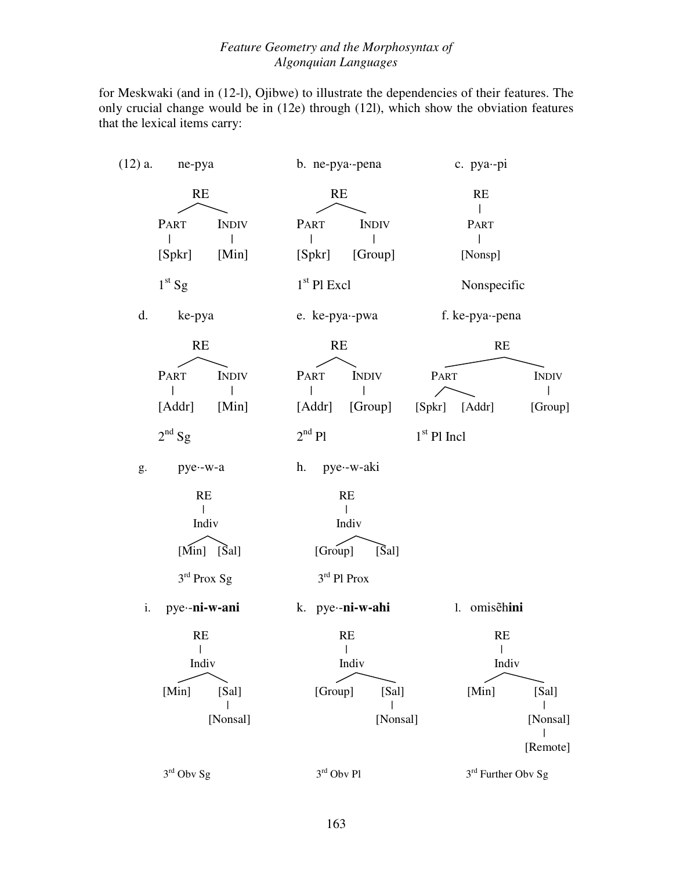for Meskwaki (and in (12-l), Ojibwe) to illustrate the dependencies of their features. The only crucial change would be in (12e) through (12l), which show the obviation features that the lexical items carry:

| $(12)$ a.<br>ne-pya           | b. ne-pya--pena                |                         | c. pya--pi                     |
|-------------------------------|--------------------------------|-------------------------|--------------------------------|
| RE                            | RE                             |                         | RE                             |
| PART<br>[Spkr]<br>[Min]       | <b>INDIV</b><br>PART<br>[Spkr] | <b>INDIV</b><br>[Group] | PART<br>[Nonsp]                |
| $1st$ Sg                      | $1st$ Pl Excl                  |                         | Nonspecific                    |
| d.<br>ke-pya                  | e. ke-pya--pwa                 |                         | f. ke-pya--pena                |
| RE                            | RE                             |                         | RE                             |
| PART<br><b>INDIV</b>          | PART                           | <b>INDIV</b><br>PART    | <b>INDIV</b>                   |
| [Addr] [Min]                  |                                | [Addr] [Group]          | [Spkr] [Addr]<br>[Group]       |
| $2nd$ Sg                      | $2nd$ Pl                       | $1st$ Pl Incl           |                                |
| pye--w-a<br>g.                | h.                             | pye∙-w-aki              |                                |
| RE<br>$\mathsf{I}$            |                                | RE                      |                                |
| Indiv                         |                                | Indiv                   |                                |
| $[\text{Min}]$ $[\text{Sal}]$ | [Group]                        | $[\text{Sal}]$          |                                |
| $3rd$ Prox Sg                 |                                | $3rd$ Pl Prox           |                                |
| pye-ni-w-ani<br>i.            |                                | k. pye-ni-w-ahi         | 1. omisehini                   |
| RE<br>$\perp$                 |                                | RE<br>$\Box$            | RE<br>$\mathbf{L}$             |
| Indiv                         |                                | Indiv                   | Indiv                          |
| [Sal]<br>[Min]                | [Group]                        | [Sal]                   | [Min]<br>[Sal]                 |
| [Nonsal]                      |                                | [Nonsal]                | [Nonsal]                       |
|                               |                                |                         | [Remote]                       |
| $3rd$ Obv Sg                  | $3^{\rm rd}$ Obv Pl            |                         | 3 <sup>rd</sup> Further Obv Sg |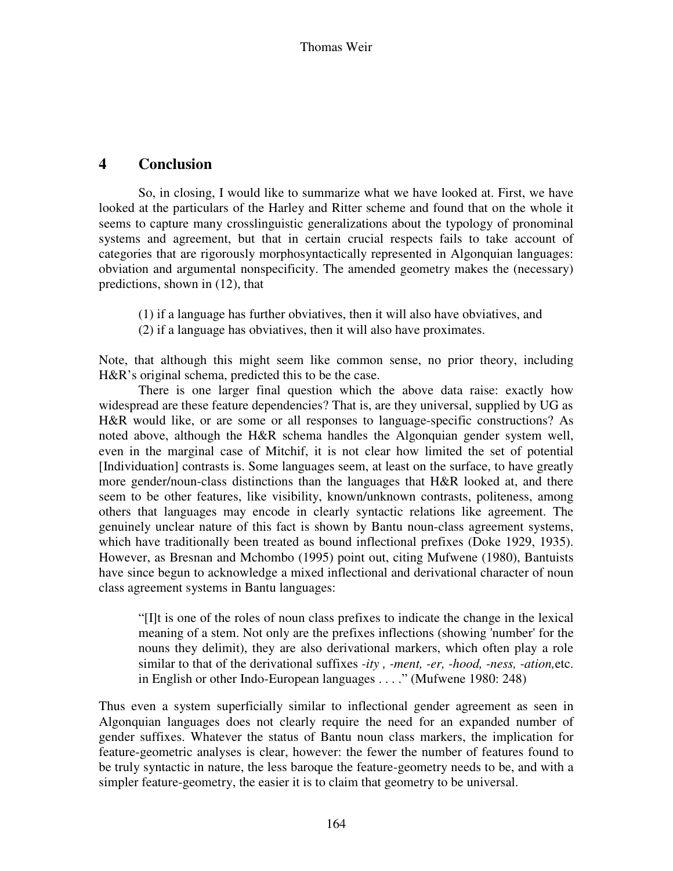## **4 Conclusion**

So, in closing, I would like to summarize what we have looked at. First, we have looked at the particulars of the Harley and Ritter scheme and found that on the whole it seems to capture many crosslinguistic generalizations about the typology of pronominal systems and agreement, but that in certain crucial respects fails to take account of categories that are rigorously morphosyntactically represented in Algonquian languages: obviation and argumental nonspecificity. The amended geometry makes the (necessary) predictions, shown in (12), that

- (1) if a language has further obviatives, then it will also have obviatives, and
- (2) if a language has obviatives, then it will also have proximates.

Note, that although this might seem like common sense, no prior theory, including H&R's original schema, predicted this to be the case.

 There is one larger final question which the above data raise: exactly how widespread are these feature dependencies? That is, are they universal, supplied by UG as H&R would like, or are some or all responses to language-specific constructions? As noted above, although the H&R schema handles the Algonquian gender system well, even in the marginal case of Mitchif, it is not clear how limited the set of potential [Individuation] contrasts is. Some languages seem, at least on the surface, to have greatly more gender/noun-class distinctions than the languages that H&R looked at, and there seem to be other features, like visibility, known/unknown contrasts, politeness, among others that languages may encode in clearly syntactic relations like agreement. The genuinely unclear nature of this fact is shown by Bantu noun-class agreement systems, which have traditionally been treated as bound inflectional prefixes (Doke 1929, 1935). However, as Bresnan and Mchombo (1995) point out, citing Mufwene (1980), Bantuists have since begun to acknowledge a mixed inflectional and derivational character of noun class agreement systems in Bantu languages:

"[I]t is one of the roles of noun class prefixes to indicate the change in the lexical meaning of a stem. Not only are the prefixes inflections (showing 'number' for the nouns they delimit), they are also derivational markers, which often play a role similar to that of the derivational suffixes *-ity , -ment, -er, -hood, -ness, -ation,*etc. in English or other Indo-European languages . . . ." (Mufwene 1980: 248)

Thus even a system superficially similar to inflectional gender agreement as seen in Algonquian languages does not clearly require the need for an expanded number of gender suffixes. Whatever the status of Bantu noun class markers, the implication for feature-geometric analyses is clear, however: the fewer the number of features found to be truly syntactic in nature, the less baroque the feature-geometry needs to be, and with a simpler feature-geometry, the easier it is to claim that geometry to be universal.